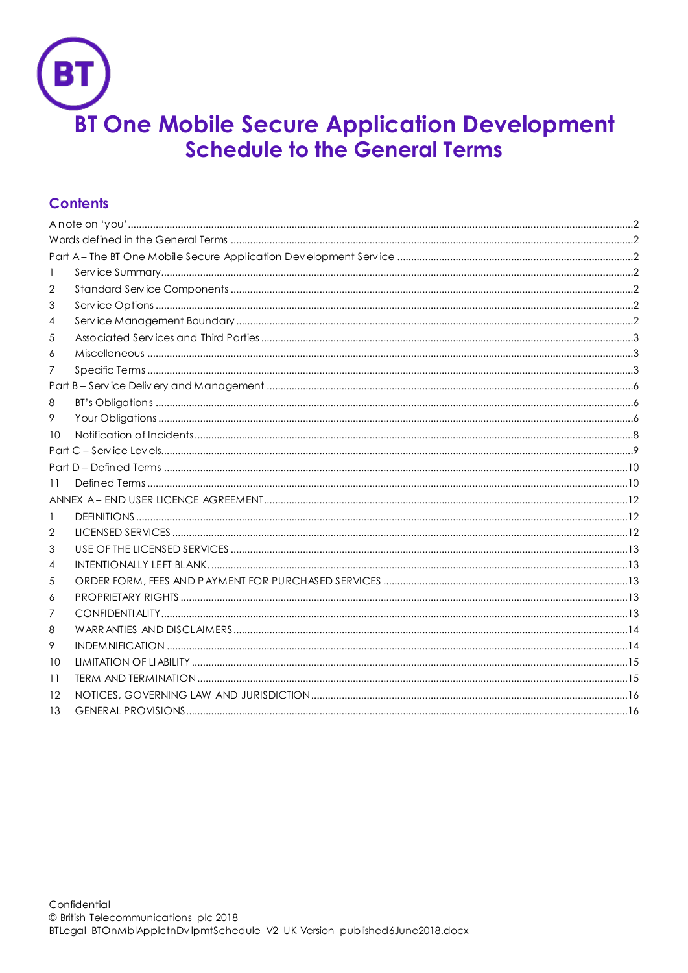

# **Contents**

| 1  |  |  |  |  |
|----|--|--|--|--|
| 2  |  |  |  |  |
| 3  |  |  |  |  |
| 4  |  |  |  |  |
| 5  |  |  |  |  |
| 6  |  |  |  |  |
| 7  |  |  |  |  |
|    |  |  |  |  |
| 8  |  |  |  |  |
| 9  |  |  |  |  |
| 10 |  |  |  |  |
|    |  |  |  |  |
|    |  |  |  |  |
| 11 |  |  |  |  |
|    |  |  |  |  |
| 1  |  |  |  |  |
| 2  |  |  |  |  |
| 3  |  |  |  |  |
| 4  |  |  |  |  |
| 5  |  |  |  |  |
| 6  |  |  |  |  |
| 7  |  |  |  |  |
| 8  |  |  |  |  |
| 9  |  |  |  |  |
| 10 |  |  |  |  |
| 11 |  |  |  |  |
| 12 |  |  |  |  |
| 13 |  |  |  |  |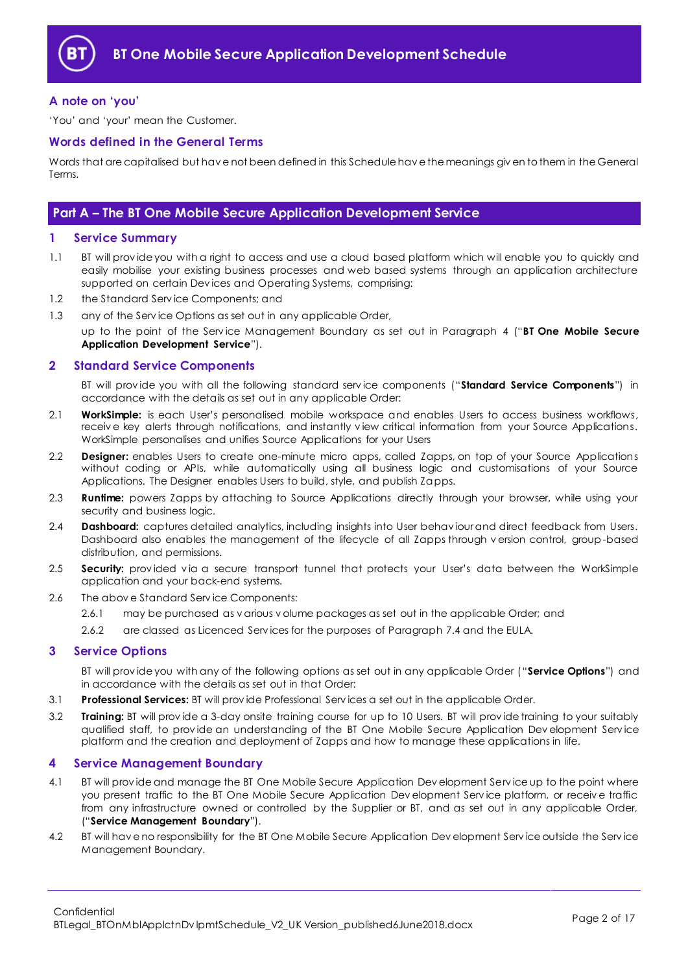

# <span id="page-1-0"></span>**A note on 'you'**

'You' and 'your' mean the Customer.

## <span id="page-1-1"></span>**Words defined in the General Terms**

Words that are capitalised but hav e not been defined in this Schedule hav e the meanings giv en to them in the General Terms.

# <span id="page-1-2"></span>**Part A – The BT One Mobile Secure Application Development Service**

## <span id="page-1-3"></span>**1 Service Summary**

- 1.1 BT will prov ide you with a right to access and use a cloud based platform which will enable you to quickly and easily mobilise your existing business processes and web based systems through an application architecture supported on certain Dev ices and Operating Systems, comprising:
- 1.2 the Standard Serv ice Components; and
- 1.3 any of the Serv ice Options as set out in any applicable Order,

up to the point of the Serv ice Management Boundary as set out in Paragraph [4](#page-1-6) ("**BT One Mobile Secure Application Development Service**").

## <span id="page-1-4"></span>**2 Standard Service Components**

BT will prov ide you with all the following standard serv ice components ("**Standard Service Components**") in accordance with the details as set out in any applicable Order:

- <span id="page-1-9"></span>2.1 **WorkSimple:** is each User's personalised mobile workspace and enables Users to access business workflows, receiv e key alerts through notifications, and instantly v iew critical information from your Source Applications. WorkSimple personalises and unifies Source Applications for your Users
- 2.2 **Designer:** enables Users to create one-minute micro apps, called Zapps, on top of your Source Applications without coding or APIs, while automatically using all business logic and customisations of your Source Applications. The Designer enables Users to build, style, and publish Zapps.
- <span id="page-1-7"></span>2.3 **Runtime:** powers Zapps by attaching to Source Applications directly through your browser, while using your security and business logic.
- 2.4 **Dashboard:** captures detailed analytics, including insights into User behav iour and direct feedback from Users. Dashboard also enables the management of the lifecycle of all Zapps through v ersion control, group-based distribution, and permissions.
- 2.5 **Security:** provided via a secure transport tunnel that protects your User's data between the WorkSimple application and your back-end systems.
- 2.6 The abov e Standard Serv ice Components:
	- 2.6.1 may be purchased as v arious v olume packages as set out in the applicable Order; and
	- 2.6.2 are classed as Licenced Serv ices for the purposes of Paragraph [7.4](#page-3-0) and the EULA.

### <span id="page-1-5"></span>**3 Service Options**

BT will prov ide you with any of the following options as set out in any applicable Order ("**Service Options**") and in accordance with the details as set out in that Order:

- 3.1 **Professional Services:** BT will prov ide Professional Serv ices a set out in the applicable Order.
- 3.2 **Training:** BT will prov ide a 3-day onsite training course for up to 10 Users. BT will prov ide training to your suitably qualified staff, to prov ide an understanding of the BT One Mobile Secure Application Dev elopment Serv ice platform and the creation and deployment of Zapps and how to manage these applications in life.

### <span id="page-1-6"></span>**4 Service Management Boundary**

- <span id="page-1-8"></span>4.1 BT will provide and manage the BT One Mobile Secure Application Development Service up to the point where you present traffic to the BT One Mobile Secure Application Dev elopment Serv ice platform, or receiv e traffic from any infrastructure owned or controlled by the Supplier or BT, and as set out in any applicable Order, ("**Service Management Boundary**").
- 4.2 BT will hav e no responsibility for the BT One Mobile Secure Application Dev elopment Serv ice outside the Serv ice Management Boundary.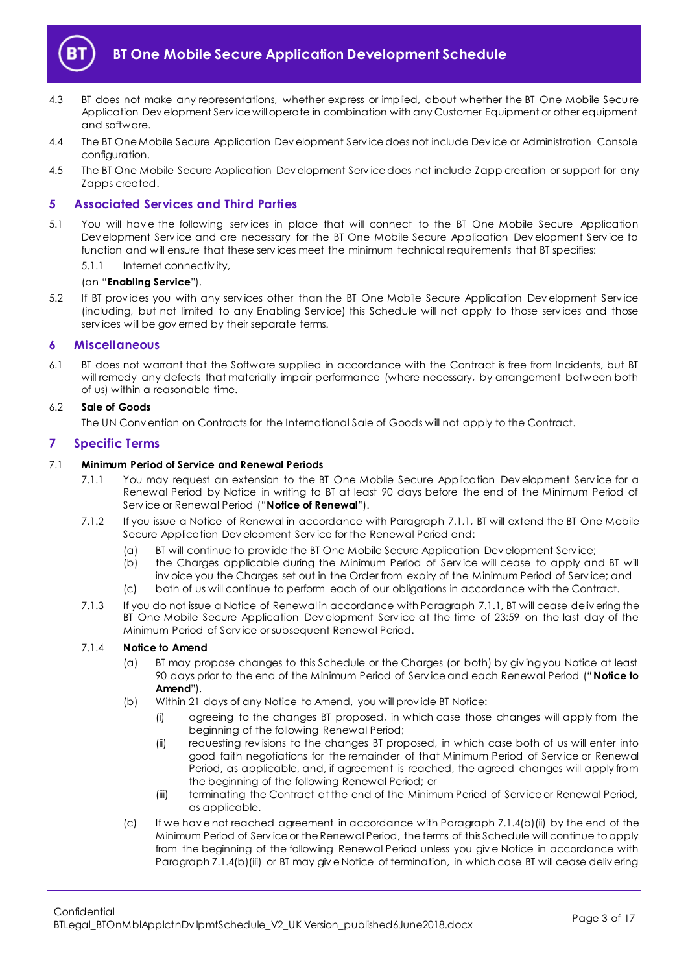

- 4.3 BT does not make any representations, whether express or implied, about whether the BT One Mobile Secu re Application Dev elopment Serv ice will operate in combination with any Customer Equipment or other equipment and software.
- 4.4 The BT One Mobile Secure Application Dev elopment Serv ice does not include Dev ice or Administration Console configuration.
- 4.5 The BT One Mobile Secure Application Dev elopment Serv ice does not include Zapp creation or support for any Zapps created.

## <span id="page-2-0"></span>**5 Associated Services and Third Parties**

- 5.1 You will hav e the following serv ices in place that will connect to the BT One Mobile Secure Application Dev elopment Serv ice and are necessary for the BT One Mobile Secure Application Dev elopment Serv ice to function and will ensure that these serv ices meet the minimum technical requirements that BT specifies:
	- 5.1.1 Internet connectiv ity,

## (an "**Enabling Service**").

5.2 If BT prov ides you with any serv ices other than the BT One Mobile Secure Application Dev elopment Serv ice (including, but not limited to any Enabling Serv ice) this Schedule will not apply to those serv ices and those serv ices will be gov erned by their separate terms.

### <span id="page-2-1"></span>**6 Miscellaneous**

6.1 BT does not warrant that the Software supplied in accordance with the Contract is free from Incidents, but BT will remedy any defects that materially impair performance (where necessary, by arrangement between both of us) within a reasonable time.

### 6.2 **Sale of Goods**

The UN Conv ention on Contracts for the International Sale of Goods will not apply to the Contract.

#### <span id="page-2-2"></span>**7 Specific Terms**

#### <span id="page-2-3"></span>7.1 **Minimum Period of Service and Renewal Periods**

- 7.1.1 You may request an extension to the BT One Mobile Secure Application Development Service for a Renewal Period by Notice in writing to BT at least 90 days before the end of the Minimum Period of Serv ice or Renewal Period ("**Notice of Renewal**").
- 7.1.2 If you issue a Notice of Renewal in accordance with Paragrap[h 7.1.1,](#page-2-3) BT will extend the BT One Mobile Secure Application Dev elopment Serv ice for the Renewal Period and:
	- (a) BT will continue to prov ide the BT One Mobile Secure Application Dev elopment Serv ice;
	- (b) the Charges applicable during the Minimum Period of Serv ice will cease to apply and BT will inv oice you the Charges set out in the Order from expiry of the Minimum Period of Serv ice; and
	- (c) both of us will continue to perform each of our obligations in accordance with the Contract.
- <span id="page-2-4"></span>7.1.3 If you do not issue a Notice of Renewal in accordance with Paragraph [7.1.1,](#page-2-3) BT will cease delivering the BT One Mobile Secure Application Dev elopment Serv ice at the time of 23:59 on the last day of the Minimum Period of Serv ice or subsequent Renewal Period.

## 7.1.4 **Notice to Amend**

- (a) BT may propose changes to this Schedule or the Charges (or both) by giv ing you Notice at least 90 days prior to the end of the Minimum Period of Serv ice and each Renewal Period ("**Notice to Amend**").
- (b) Within 21 days of any Notice to Amend, you will prov ide BT Notice:
	- (i) agreeing to the changes BT proposed, in which case those changes will apply from the beginning of the following Renewal Period;
	- (ii) requesting rev isions to the changes BT proposed, in which case both of us will enter into good faith negotiations for the remainder of that Minimum Period of Serv ice or Renewal Period, as applicable, and, if agreement is reached, the agreed changes will apply from the beginning of the following Renewal Period; or
	- (iii) terminating the Contract at the end of the Minimum Period of Serv ice or Renewal Period, as applicable.
- (c) If we hav e not reached agreement in accordance with Paragraph 7.1.4(b)(ii) by the end of the Minimum Period of Serv ice or the Renewal Period, the terms of this Schedule will continue to apply from the beginning of the following Renewal Period unless you giv e Notice in accordance with Paragraph 7.1.4(b)(iii) or BT may giv e Notice of termination, in which case BT will cease deliv ering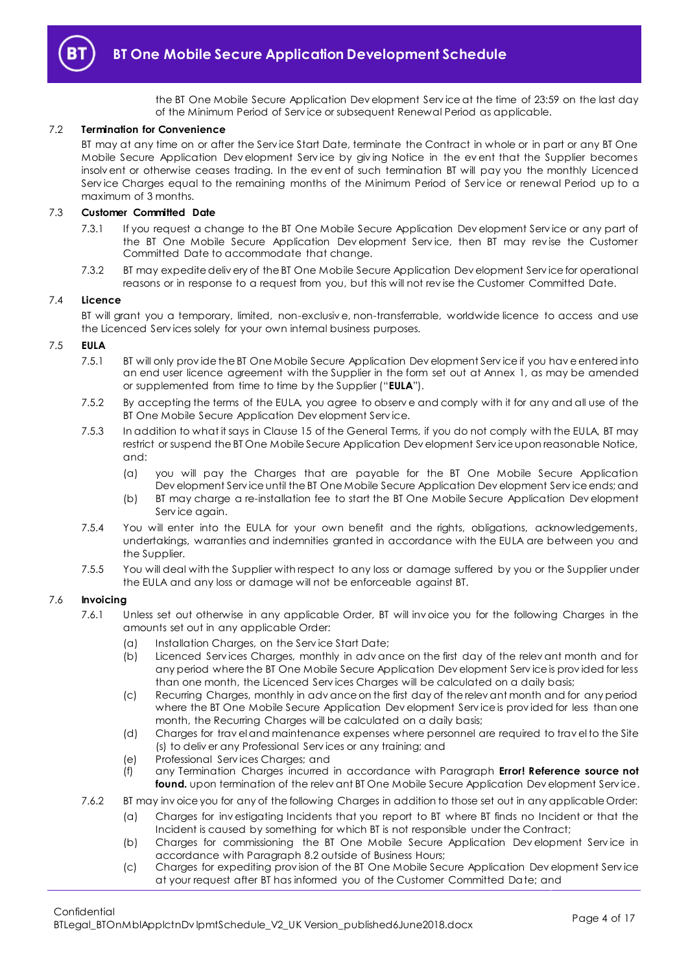

the BT One Mobile Secure Application Dev elopment Serv ice at the time of 23:59 on the last day of the Minimum Period of Serv ice or subsequent Renewal Period as applicable.

#### 7.2 **Termination for Convenience**

BT may at any time on or after the Serv ice Start Date, terminate the Contract in whole or in part or any BT One Mobile Secure Application Dev elopment Serv ice by giv ing Notice in the ev ent that the Supplier becomes insolv ent or otherwise ceases trading. In the ev ent of such termination BT will pay you the monthly Licenced Serv ice Charges equal to the remaining months of the Minimum Period of Serv ice or renewal Period up to a maximum of 3 months.

### 7.3 **Customer Committed Date**

- 7.3.1 If you request a change to the BT One Mobile Secure Application Dev elopment Serv ice or any part of the BT One Mobile Secure Application Development Service, then BT may revise the Customer Committed Date to accommodate that change.
- 7.3.2 BT may expedite deliv ery of the BT One Mobile Secure Application Dev elopment Serv ice for operational reasons or in response to a request from you, but this will not rev ise the Customer Committed Date.

#### <span id="page-3-0"></span>7.4 **Licence**

BT will grant you a temporary, limited, non-exclusiv e, non-transferrable, worldwide licence to access and use the Licenced Serv ices solely for your own internal business purposes.

### <span id="page-3-1"></span>7.5 **EULA**

- 7.5.1 BT will only prov ide the BT One Mobile Secure Application Dev elopment Serv ice if you hav e entered into an end user licence agreement with the Supplier in the form set out at Annex 1, as may be amended or supplemented from time to time by the Supplier ("**EULA**").
- 7.5.2 By accepting the terms of the EULA, you agree to observ e and comply with it for any and all use of the BT One Mobile Secure Application Dev elopment Serv ice.
- 7.5.3 In addition to what it says in Clause 15 of the General Terms, if you do not comply with the EULA, BT may restrict or suspend the BT One Mobile Secure Application Dev elopment Serv ice upon reasonable Notice, and:
	- (a) you will pay the Charges that are payable for the BT One Mobile Secure Application Dev elopment Serv ice until the BT One Mobile Secure Application Dev elopment Serv ice ends; and
	- (b) BT may charge a re-installation fee to start the BT One Mobile Secure Application Dev elopment Serv ice again.
- 7.5.4 You will enter into the EULA for your own benefit and the rights, obligations, acknowledgements, undertakings, warranties and indemnities granted in accordance with the EULA are between you and the Supplier.
- 7.5.5 You will deal with the Supplier with respect to any loss or damage suffered by you or the Supplier under the EULA and any loss or damage will not be enforceable against BT.

#### 7.6 **Invoicing**

- 7.6.1 Unless set out otherwise in any applicable Order, BT will inv oice you for the following Charges in the amounts set out in any applicable Order:
	- (a) Installation Charges, on the Serv ice Start Date;
	- (b) Licenced Serv ices Charges, monthly in adv ance on the first day of the relev ant month and for any period where the BT One Mobile Secure Application Dev elopment Serv ice is prov ided for less than one month, the Licenced Serv ices Charges will be calculated on a daily basis;
	- (c) Recurring Charges, monthly in adv ance on the first day of the relev ant month and for any period where the BT One Mobile Secure Application Dev elopment Serv ice is prov ided for less than one month, the Recurring Charges will be calculated on a daily basis;
	- (d) Charges for trav el and maintenance expenses where personnel are required to trav el to the Site (s) to deliv er any Professional Serv ices or any training; and
	- (e) Professional Serv ices Charges; and
	- (f) any Termination Charges incurred in accordance with Paragraph **Error! Reference source not**  found. upon termination of the relev ant BT One Mobile Secure Application Dev elopment Service.
- 7.6.2 BT may inv oice you for any of the following Charges in addition to those set out in any applicable Order:
	- (a) Charges for inv estigating Incidents that you report to BT where BT finds no Incident or that the Incident is caused by something for which BT is not responsible under the Contract;
	- (b) Charges for commissioning the BT One Mobile Secure Application Dev elopment Serv ice in accordance with Paragrap[h 8.2](#page-5-3) outside of Business Hours;
	- (c) Charges for expediting prov ision of the BT One Mobile Secure Application Dev elopment Serv ice at your request after BT has informed you of the Customer Committed Date; and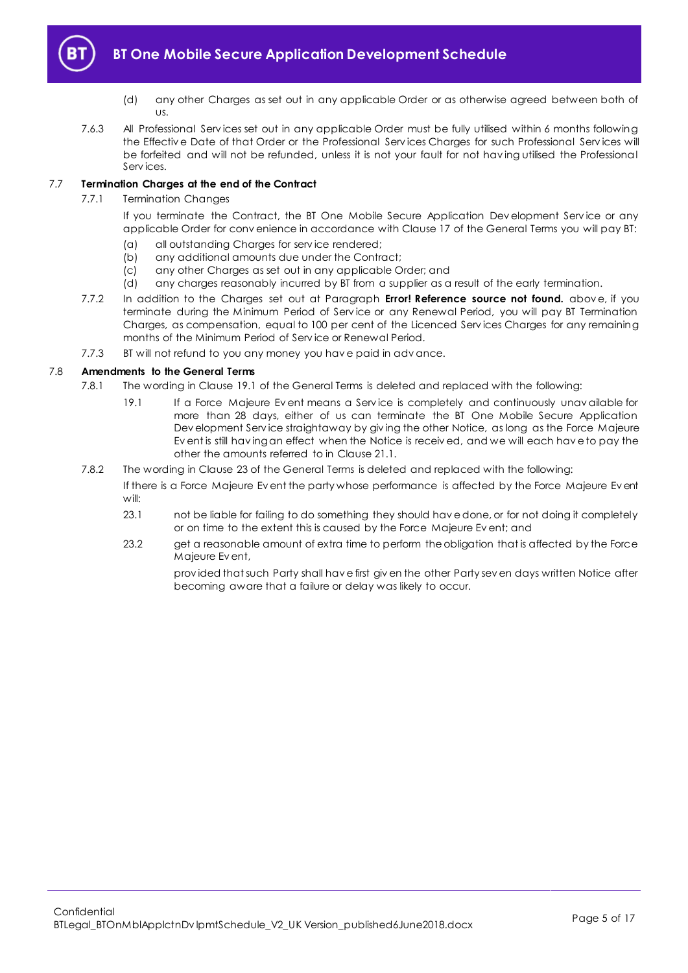

- (d) any other Charges as set out in any applicable Order or as otherwise agreed between both of us.
- 7.6.3 All Professional Services set out in any applicable Order must be fully utilised within 6 months following the Effectiv e Date of that Order or the Professional Serv ices Charges for such Professional Serv ices will be forfeited and will not be refunded, unless it is not your fault for not hav ing utilised the Professional Serv ices.

## 7.7 **Termination Charges at the end of the Contract**

## 7.7.1 Termination Changes

If you terminate the Contract, the BT One Mobile Secure Application Dev elopment Service or any applicable Order for conv enience in accordance with Clause 17 of the General Terms you will pay BT:

- (a) all outstanding Charges for serv ice rendered;
- (b) any additional amounts due under the Contract;
- (c) any other Charges as set out in any applicable Order; and
- (d) any charges reasonably incurred by BT from a supplier as a result of the early termination.
- 7.7.2 In addition to the Charges set out at Paragraph **Error! Reference source not found.** abov e, if you terminate during the Minimum Period of Serv ice or any Renewal Period, you will pay BT Termination Charges, as compensation, equal to 100 per cent of the Licenced Serv ices Charges for any remaining months of the Minimum Period of Serv ice or Renewal Period.
- 7.7.3 BT will not refund to you any money you hav e paid in adv ance.

## 7.8 **Amendments to the General Terms**

- 7.8.1 The wording in Clause 19.1 of the General Terms is deleted and replaced with the following:
	- 19.1 If a Force Majeure Ev ent means a Serv ice is completely and continuously unav ailable for more than 28 days, either of us can terminate the BT One Mobile Secure Application Dev elopment Serv ice straightaway by giv ing the other Notice, as long as the Force Majeure Ev ent is still hav ing an effect when the Notice is receiv ed, and we will each hav e to pay the other the amounts referred to in Clause 21.1.
- 7.8.2 The wording in Clause 23 of the General Terms is deleted and replaced with the following:

If there is a Force Majeure Ev ent the party whose performance is affected by the Force Majeure Ev ent will:

- 23.1 not be liable for failing to do something they should hav e done, or for not doing it completely or on time to the extent this is caused by the Force Majeure Ev ent; and
- 23.2 get a reasonable amount of extra time to perform the obligation that is affected by the Force Majeure Ev ent,

prov ided that such Party shall hav e first giv en the other Party sev en days written Notice after becoming aware that a failure or delay was likely to occur.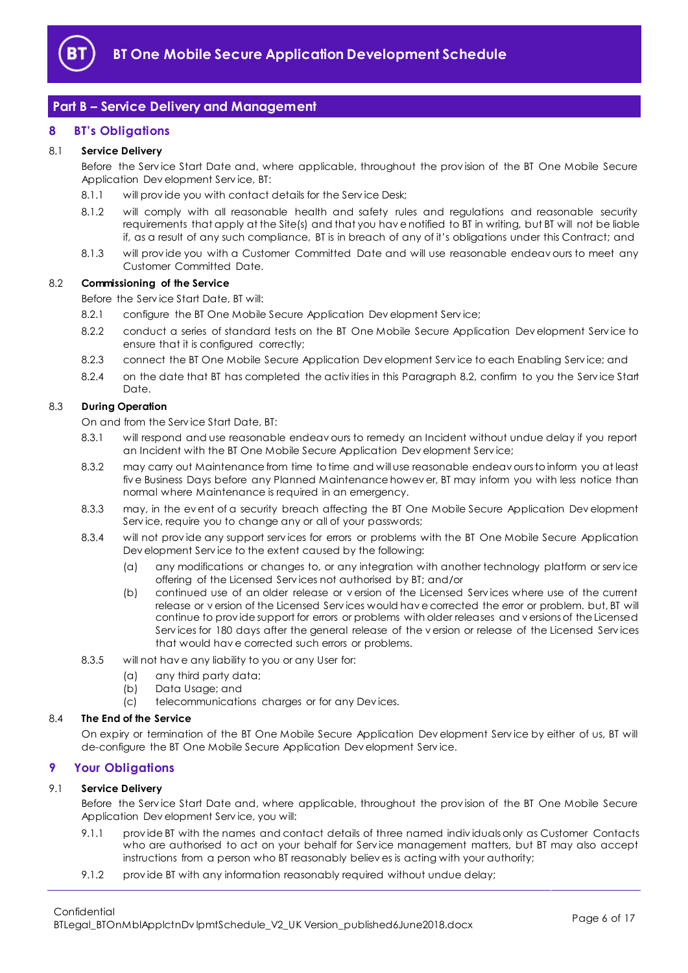

# <span id="page-5-0"></span>**Part B – Service Delivery and Management**

# <span id="page-5-1"></span>**8 BT's Obligations**

## 8.1 **Service Delivery**

Before the Serv ice Start Date and, where applicable, throughout the prov ision of the BT One Mobile Secure Application Dev elopment Serv ice, BT:

- 8.1.1 will provide you with contact details for the Service Desk;
- 8.1.2 will comply with all reasonable health and safety rules and regulations and reasonable security requirements that apply at the Site(s) and that you hav e notified to BT in writing, but BT will not be liable if, as a result of any such compliance, BT is in breach of any of it's obligations under this Contract; and
- 8.1.3 will prov ide you with a Customer Committed Date and will use reasonable endeav ours to meet any Customer Committed Date.

## <span id="page-5-3"></span>8.2 **Commissioning of the Service**

Before the Serv ice Start Date, BT will:

- 8.2.1 configure the BT One Mobile Secure Application Dev elopment Service;
- 8.2.2 conduct a series of standard tests on the BT One Mobile Secure Application Dev elopment Serv ice to ensure that it is configured correctly;
- 8.2.3 connect the BT One Mobile Secure Application Dev elopment Serv ice to each Enabling Serv ice; and
- 8.2.4 on the date that BT has completed the activities in this Paragraph [8.2,](#page-5-3) confirm to you the Service Start Date.

## 8.3 **During Operation**

On and from the Serv ice Start Date, BT:

- 8.3.1 will respond and use reasonable endeav ours to remedy an Incident without undue delay if you report an Incident with the BT One Mobile Secure Application Dev elopment Serv ice;
- 8.3.2 may carry out Maintenance from time to time and will use reasonable endeav ours to inform you at least fiv e Business Days before any Planned Maintenance howev er, BT may inform you with less notice than normal where Maintenance is required in an emergency.
- 8.3.3 may, in the ev ent of a security breach affecting the BT One Mobile Secure Application Dev elopment Serv ice, require you to change any or all of your passwords;
- 8.3.4 will not prov ide any support serv ices for errors or problems with the BT One Mobile Secure Application Dev elopment Serv ice to the extent caused by the following:
	- (a) any modifications or changes to, or any integration with another technology platform or serv ice offering of the Licensed Serv ices not authorised by BT; and/or
	- (b) continued use of an older release or v ersion of the Licensed Serv ices where use of the current release or v ersion of the Licensed Serv ices would hav e corrected the error or problem. but, BT will continue to prov ide support for errors or problems with older releases and v ersions of the Licensed Serv ices for 180 days after the general release of the v ersion or release of the Licensed Serv ices that would hav e corrected such errors or problems.
- 8.3.5 will not hav e any liability to you or any User for:
	- (a) any third party data;
	- (b) Data Usage; and
	- (c) telecommunications charges or for any Dev ices.

### 8.4 **The End of the Service**

On expiry or termination of the BT One Mobile Secure Application Dev elopment Serv ice by either of us, BT will de-configure the BT One Mobile Secure Application Dev elopment Serv ice.

### <span id="page-5-2"></span>**9 Your Obligations**

### 9.1 **Service Delivery**

Before the Serv ice Start Date and, where applicable, throughout the prov ision of the BT One Mobile Secure Application Dev elopment Serv ice, you will:

- 9.1.1 prov ide BT with the names and contact details of three named indiv iduals only as Customer Contacts who are authorised to act on your behalf for Serv ice management matters, but BT may also accept instructions from a person who BT reasonably believ es is acting with your authority;
- 9.1.2 prov ide BT with any information reasonably required without undue delay;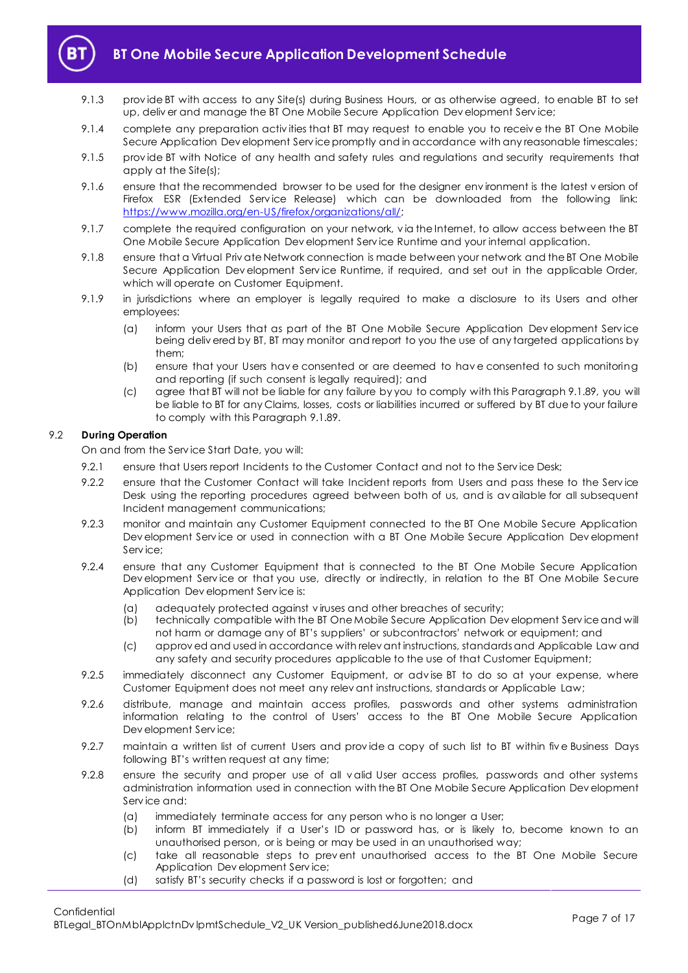

- 9.1.3 prov ide BT with access to any Site(s) during Business Hours, or as otherwise agreed, to enable BT to set up, deliv er and manage the BT One Mobile Secure Application Dev elopment Serv ice;
- 9.1.4 complete any preparation activ ities that BT may request to enable you to receiv e the BT One Mobile Secure Application Dev elopment Serv ice promptly and in accordance with any reasonable timescales;
- 9.1.5 prov ide BT with Notice of any health and safety rules and regulations and security requirements that apply at the Site(s);
- 9.1.6 ensure that the recommended browser to be used for the designer env ironment is the latest v ersion of Firefox ESR (Extended Service Release) which can be downloaded from the following link: [https://www.mozilla.org/en-US/firefox/organizations/all/;](https://www.mozilla.org/en-US/firefox/organizations/all/)
- 9.1.7 complete the required configuration on your network, v ia the Internet, to allow access between the BT One Mobile Secure Application Dev elopment Serv ice Runtime and your internal application.
- <span id="page-6-0"></span>9.1.8 ensure that a Virtual Priv ate Network connection is made between your network and the BT One Mobile Secure Application Dev elopment Service Runtime, if required, and set out in the applicable Order, which will operate on Customer Equipment.
- 9.1.9 in jurisdictions where an employer is legally required to make a disclosure to its Users and other employees:
	- (a) inform your Users that as part of the BT One Mobile Secure Application Dev elopment Serv ice being deliv ered by BT, BT may monitor and report to you the use of any targeted applications by them;
	- (b) ensure that your Users hav e consented or are deemed to hav e consented to such monitoring and reporting (if such consent is legally required); and
	- (c) agree that BT will not be liable for any failure by you to comply with this Paragrap[h 9.1.89](#page-6-0), you will be liable to BT for any Claims, losses, costs or liabilities incurred or suffered by BT due to your failure to comply with this Paragrap[h 9.1.89](#page-6-0).

## 9.2 **During Operation**

On and from the Serv ice Start Date, you will:

- 9.2.1 ensure that Users report Incidents to the Customer Contact and not to the Service Desk;
- 9.2.2 ensure that the Customer Contact will take Incident reports from Users and pass these to the Service Desk using the reporting procedures agreed between both of us, and is av ailable for all subsequent Incident management communications;
- 9.2.3 monitor and maintain any Customer Equipment connected to the BT One Mobile Secure Application Dev elopment Serv ice or used in connection with a BT One Mobile Secure Application Dev elopment Serv ice:
- 9.2.4 ensure that any Customer Equipment that is connected to the BT One Mobile Secure Application Dev elopment Serv ice or that you use, directly or indirectly, in relation to the BT One Mobile Secure Application Dev elopment Serv ice is:
	- (a) adequately protected against v iruses and other breaches of security;
	- (b) technically compatible with the BT One Mobile Secure Application Dev elopment Serv ice and will not harm or damage any of BT's suppliers' or subcontractors' network or equipment; and
	- (c) approv ed and used in accordance with relev ant instructions, standards and Applicable Law and any safety and security procedures applicable to the use of that Customer Equipment;
- 9.2.5 immediately disconnect any Customer Equipment, or adv ise BT to do so at your expense, where Customer Equipment does not meet any relev ant instructions, standards or Applicable Law;
- 9.2.6 distribute, manage and maintain access profiles, passwords and other systems administration information relating to the control of Users' access to the BT One Mobile Secure Application Dev elopment Serv ice;
- 9.2.7 maintain a written list of current Users and provide a copy of such list to BT within five Business Days following BT's written request at any time;
- 9.2.8 ensure the security and proper use of all v alid User access profiles, passwords and other systems administration information used in connection with the BT One Mobile Secure Application Dev elopment Serv ice and:
	- (a) immediately terminate access for any person who is no longer a User;
	- (b) inform BT immediately if a User's ID or password has, or is likely to, become known to an unauthorised person, or is being or may be used in an unauthorised way;
	- (c) take all reasonable steps to prev ent unauthorised access to the BT One Mobile Secure Application Dev elopment Serv ice;
	- (d) satisfy BT's security checks if a password is lost or forgotten; and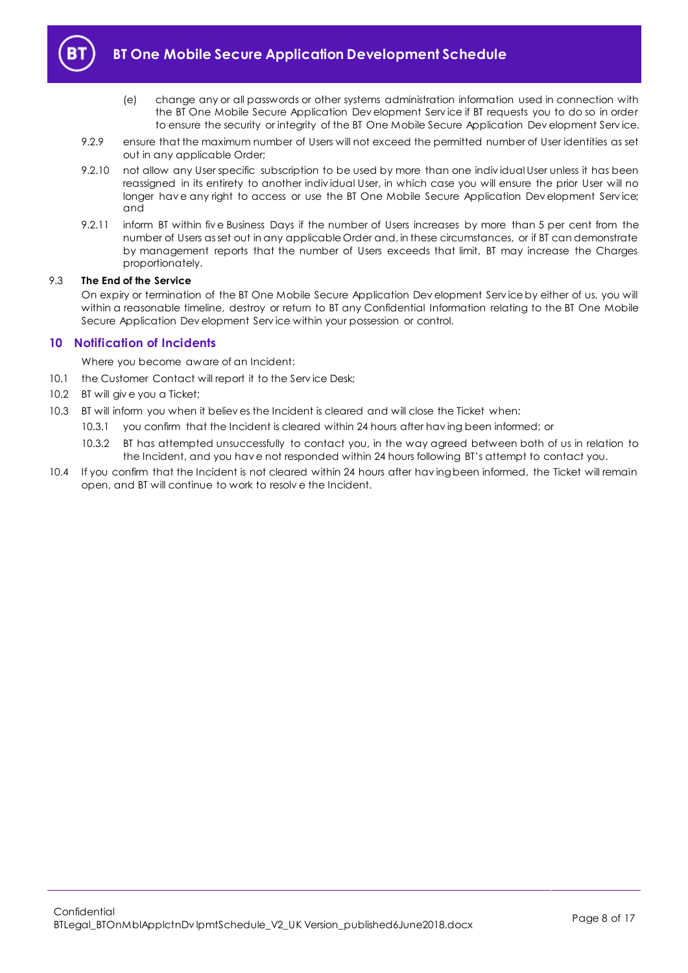

- (e) change any or all passwords or other systems administration information used in connection with the BT One Mobile Secure Application Dev elopment Serv ice if BT requests you to do so in order to ensure the security or integrity of the BT One Mobile Secure Application Dev elopment Serv ice.
- 9.2.9 ensure that the maximum number of Users will not exceed the permitted number of User identities as set out in any applicable Order;
- 9.2.10 not allow any User specific subscription to be used by more than one indiv idual User unless it has been reassigned in its entirety to another indiv idual User, in which case you will ensure the prior User will no longer have any right to access or use the BT One Mobile Secure Application Dev elopment Service; and
- 9.2.11 inform BT within fiv e Business Days if the number of Users increases by more than 5 per cent from the number of Users as set out in any applicable Order and, in these circumstances, or if BT can demonstrate by management reports that the number of Users exceeds that limit, BT may increase the Charges proportionately.

## 9.3 **The End of the Service**

On expiry or termination of the BT One Mobile Secure Application Dev elopment Serv ice by either of us, you will within a reasonable timeline, destroy or return to BT any Confidential Information relating to the BT One Mobile Secure Application Dev elopment Serv ice within your possession or control.

# <span id="page-7-0"></span>**10 Notification of Incidents**

Where you become aware of an Incident:

- 10.1 the Customer Contact will report it to the Service Desk;
- 10.2 BT will giv e you a Ticket;
- 10.3 BT will inform you when it believ es the Incident is cleared and will close the Ticket when:
	- 10.3.1 you confirm that the Incident is cleared within 24 hours after hav ing been informed; or
		- 10.3.2 BT has attempted unsuccessfully to contact you, in the way agreed between both of us in relation to the Incident, and you hav e not responded within 24 hours following BT's attempt to contact you.
- 10.4 If you confirm that the Incident is not cleared within 24 hours after hav ing been informed, the Ticket will remain open, and BT will continue to work to resolv e the Incident.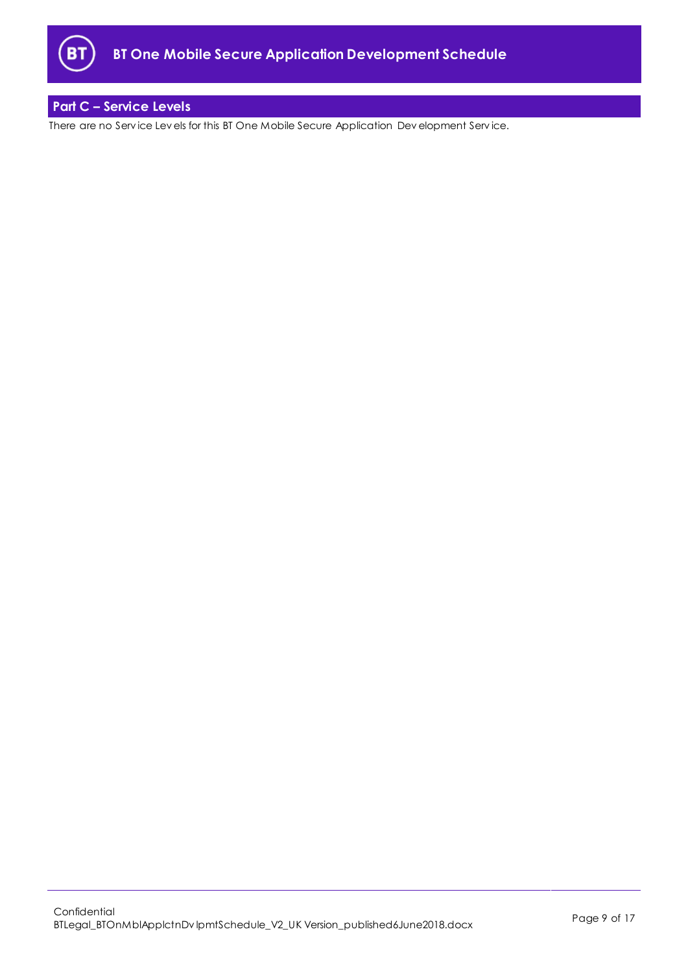

# <span id="page-8-0"></span>**Part C – Service Levels**

There are no Serv ice Lev els for this BT One Mobile Secure Application Dev elopment Serv ice.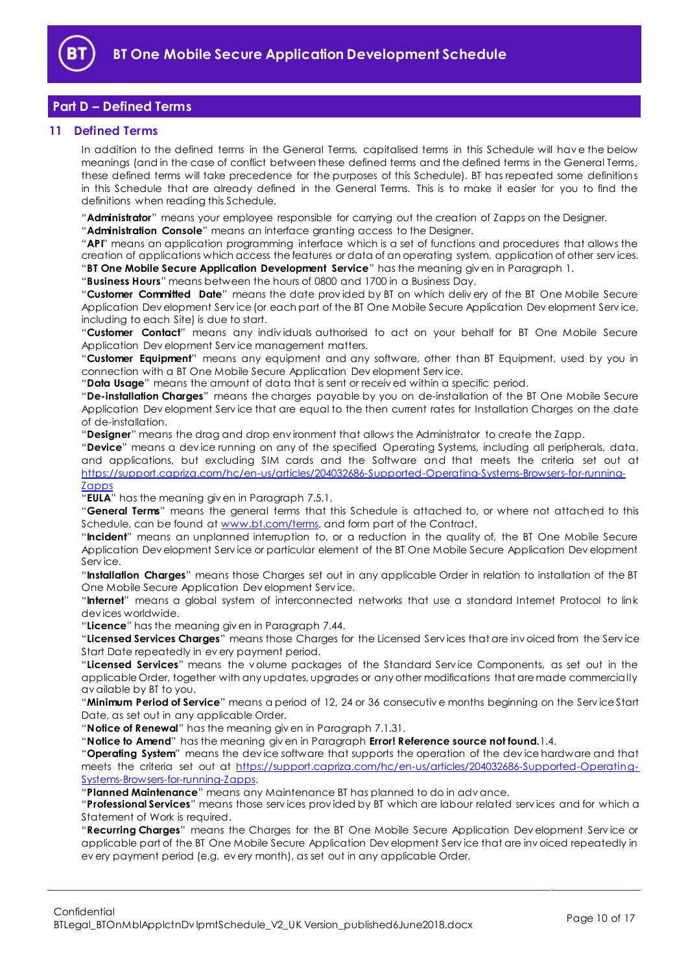

# <span id="page-9-0"></span>**Part D – Defined Terms**

## <span id="page-9-1"></span>**11 Defined Terms**

In addition to the defined terms in the General Terms, capitalised terms in this Schedule will hav e the below meanings (and in the case of conflict between these defined terms and the defined terms in the General Terms, these defined terms will take precedence for the purposes of this Schedule). BT has repeated some definitions in this Schedule that are already defined in the General Terms. This is to make it easier for you to find the definitions when reading this Schedule.

"**Administrator**" means your employee responsible for carrying out the creation of Zapps on the Designer.

"**Administration Console**" means an interface granting access to the Designer.

"**API**" means an application programming interface which is a set of functions and procedures that allows the creation of applications which access the features or data of an operating system, application of other serv ices. "**BT One Mobile Secure Application Development Service**" has the meaning giv en in Paragraph [1.](#page-1-3)

"**Business Hours**" means between the hours of 0800 and 1700 in a Business Day.

"**Customer Committed Date**" means the date prov ided by BT on which deliv ery of the BT One Mobile Secure Application Dev elopment Serv ice (or each part of the BT One Mobile Secure Application Dev elopment Serv ice, including to each Site) is due to start.

"**Customer Contact**" means any indiv iduals authorised to act on your behalf for BT One Mobile Secure Application Dev elopment Serv ice management matters.

"**Customer Equipment**" means any equipment and any software, other than BT Equipment, used by you in connection with a BT One Mobile Secure Application Dev elopment Serv ice.

"**Data Usage**" means the amount of data that is sent or receiv ed within a specific period.

"**De-installation Charges**" means the charges payable by you on de-installation of the BT One Mobile Secure Application Dev elopment Serv ice that are equal to the then current rates for Installation Charges on the date of de-installation.

"**Designer**" means the drag and drop env ironment that allows the Administrator to create the Zapp.

"**Device**" means a dev ice running on any of the specified Operating Systems, including all peripherals, data, and applications, but excluding SIM cards and the Software and that meets the criteria set out at [https://support.capriza.com/hc/en-us/articles/204032686-Supported-Operating-Systems-Browsers-for-running-](https://support.capriza.com/hc/en-us/articles/204032686-Supported-Operating-Systems-Browsers-for-running-Zapps)**[Zapps](https://support.capriza.com/hc/en-us/articles/204032686-Supported-Operating-Systems-Browsers-for-running-Zapps)** 

"**EULA**" has the meaning giv en in Paragraph [7.5.1.](#page-3-1)

"**General Terms**" means the general terms that this Schedule is attached to, or where not attached to this Schedule, can be found at [www.bt.com/terms,](http://www.bt.com/terms) and form part of the Contract.

"**Incident**" means an unplanned interruption to, or a reduction in the quality of, the BT One Mobile Secure Application Dev elopment Serv ice or particular element of the BT One Mobile Secure Application Dev elopment Serv ice.

"**Installation Charges**" means those Charges set out in any applicable Order in relation to installation of the BT One Mobile Secure Application Dev elopment Serv ice.

"**Internet**" means a global system of interconnected networks that use a standard Internet Protocol to link dev ices worldwide.

"**Licence**" has the meaning giv en in Paragraph [7.44](#page-3-0).

"**Licensed Services Charges**" means those Charges for the Licensed Serv ices that are inv oiced from the Serv ice Start Date repeatedly in ev ery payment period.

"**Licensed Services**" means the v olume packages of the Standard Serv ice Components, as set out in the applicable Order, together with any updates, upgrades or any other modifications that are made commercially av ailable by BT to you.

"**Minimum Period of Service**" means a period of 12, 24 or 36 consecutiv e months beginning on the Serv ice Start Date, as set out in any applicable Order.

"**Notice of Renewal**" has the meaning giv en in Paragraph [7.1.31](#page-2-4).

"**Notice to Amend**" has the meaning giv en in Paragraph **Error! Reference source not found.**1.4.

"**Operating System**" means the dev ice software that supports the operation of the dev ice hardware and that meets the criteria set out at [https://support.capriza.com/hc/en-us/articles/204032686-Supported-Operating-](https://support.capriza.com/hc/en-us/articles/204032686-Supported-Operating-Systems-Browsers-for-running-Zapps)[Systems-Browsers-for-running-Zapps.](https://support.capriza.com/hc/en-us/articles/204032686-Supported-Operating-Systems-Browsers-for-running-Zapps)

"**Planned Maintenance**" means any Maintenance BT has planned to do in adv ance.

"**Professional Services**" means those serv ices prov ided by BT which are labour related serv ices and for which a Statement of Work is required.

"**Recurring Charges**" means the Charges for the BT One Mobile Secure Application Dev elopment Serv ice or applicable part of the BT One Mobile Secure Application Dev elopment Serv ice that are inv oiced repeatedly in ev ery payment period (e.g. ev ery month), as set out in any applicable Order.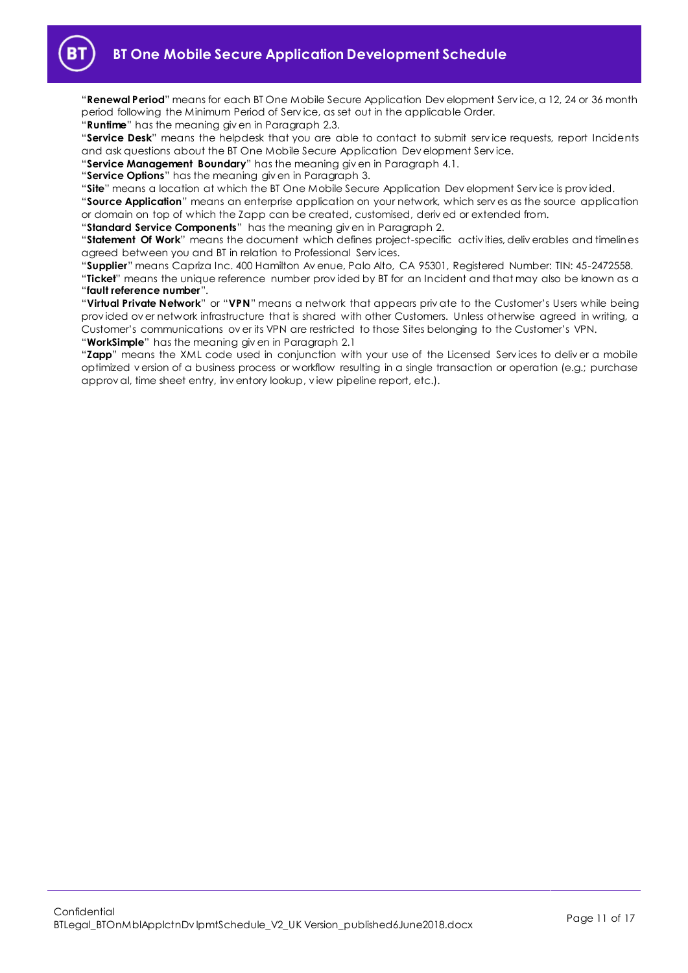

"**Renewal Period**" means for each BT One Mobile Secure Application Dev elopment Serv ice, a 12, 24 or 36 month period following the Minimum Period of Serv ice, as set out in the applicable Order.

"**Runtime**" has the meaning giv en in Paragraph [2.3.](#page-1-7)

"**Service Desk**" means the helpdesk that you are able to contact to submit serv ice requests, report Incidents and ask questions about the BT One Mobile Secure Application Dev elopment Serv ice.

"**Service Management Boundary**" has the meaning giv en in Paragraph [4.1.](#page-1-8)

"**Service Options**" has the meaning giv en in Paragrap[h 3.](#page-1-5)

"**Site**" means a location at which the BT One Mobile Secure Application Dev elopment Serv ice is prov ided.

"**Source Application**" means an enterprise application on your network, which serv es as the source application or domain on top of which the Zapp can be created, customised, deriv ed or extended from.

"**Standard Service Components**" has the meaning giv en in Paragraph [2.](#page-1-4)

"**Statement Of Work**" means the document which defines project-specific activ ities, deliv erables and timelines agreed between you and BT in relation to Professional Serv ices.

"**Supplier**" means Capriza Inc. 400 Hamilton Av enue, Palo Alto, CA 95301, Registered Number: TIN: 45-2472558. "**Ticket**" means the unique reference number prov ided by BT for an Incident and that may also be known as a "**fault reference number**".

"**Virtual Private Network**" or "**VPN**" means a network that appears priv ate to the Customer's Users while being prov ided ov er network infrastructure that is shared with other Customers. Unless otherwise agreed in writing, a Customer's communications ov er its VPN are restricted to those Sites belonging to the Customer's VPN. "**WorkSimple**" has the meaning giv en in Paragraph [2.1](#page-1-9)

"**Zapp**" means the XML code used in conjunction with your use of the Licensed Serv ices to deliv er a mobile optimized v ersion of a business process or workflow resulting in a single transaction or operation (e.g.; purchase approv al, time sheet entry, inv entory lookup, v iew pipeline report, etc.).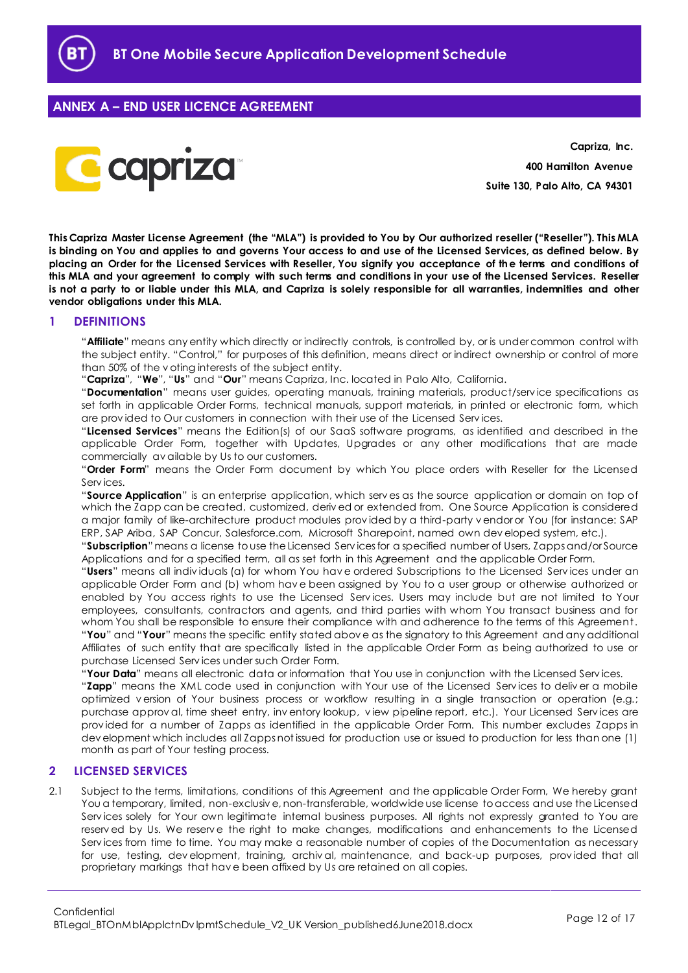

# <span id="page-11-0"></span>**ANNEX A – END USER LICENCE AGREEMENT**



**Capriza, Inc. 400 Hamilton Avenue Suite 130, Palo Alto, CA 94301**

**This Capriza Master License Agreement (the "MLA") is provided to You by Our authorized reseller ("Reseller"). This MLA is binding on You and applies to and governs Your access to and use of the Licensed Services, as defined below. By placing an Order for the Licensed Services with Reseller, You signify you acceptance of the terms and conditions of this MLA and your agreement to comply with such terms and conditions in your use of the Licensed Services. Reseller is not a party to or liable under this MLA, and Capriza is solely responsible for all warranties, indemnities and other vendor obligations under this MLA.**

## <span id="page-11-1"></span>**1 DEFINITIONS**

"**Affiliate**" means any entity which directly or indirectly controls, is controlled by, or is under common control with the subject entity. "Control," for purposes of this definition, means direct or indirect ownership or control of more than 50% of the v oting interests of the subject entity.

"**Capriza**", "**We**", "**Us**" and "**Our**" means Capriza, Inc. located in Palo Alto, California.

"**Documentation**" means user guides, operating manuals, training materials, product/serv ice specifications as set forth in applicable Order Forms, technical manuals, support materials, in printed or electronic form, which are prov ided to Our customers in connection with their use of the Licensed Serv ices.

"**Licensed Services**" means the Edition(s) of our SaaS software programs, as identified and described in the applicable Order Form, together with Updates, Upgrades or any other modifications that are made commercially av ailable by Us to our customers.

"**Order Form**" means the Order Form document by which You place orders with Reseller for the Licensed Serv ices.

"**Source Application**" is an enterprise application, which serv es as the source application or domain on top of which the Zapp can be created, customized, deriv ed or extended from. One Source Application is considered a major family of like-architecture product modules prov ided by a third-party v endor or You (for instance: SAP ERP, SAP Ariba, SAP Concur, Salesforce.com, Microsoft Sharepoint, named own dev eloped system, etc.).

"**Subscription**"means a license to use the Licensed Serv ices for a specified number of Users, Zapps and/or Source Applications and for a specified term, all as set forth in this Agreement and the applicable Order Form.

"**Users**" means all indiv iduals (a) for whom You hav e ordered Subscriptions to the Licensed Serv ices under an applicable Order Form and (b) whom hav e been assigned by You to a user group or otherwise authorized or enabled by You access rights to use the Licensed Serv ices. Users may include but are not limited to Your employees, consultants, contractors and agents, and third parties with whom You transact business and for whom You shall be responsible to ensure their compliance with and adherence to the terms of this Agreement. "**You**" and "**Your**" means the specific entity stated abov e as the signatory to this Agreement and any additional Affiliates of such entity that are specifically listed in the applicable Order Form as being authorized to use or purchase Licensed Serv ices under such Order Form.

"**Your Data**" means all electronic data or information that You use in conjunction with the Licensed Serv ices.

"**Zapp**" means the XML code used in conjunction with Your use of the Licensed Serv ices to deliv er a mobile optimized v ersion of Your business process or workflow resulting in a single transaction or operation (e.g.; purchase approv al, time sheet entry, inv entory lookup, v iew pipeline report, etc.). Your Licensed Serv ices are prov ided for a number of Zapps as identified in the applicable Order Form. This number excludes Zapps in dev elopment which includes all Zapps not issued for production use or issued to production for less than one (1) month as part of Your testing process.

### <span id="page-11-2"></span>**2 LICENSED SERVICES**

2.1 Subject to the terms, limitations, conditions of this Agreement and the applicable Order Form, We hereby grant You a temporary, limited, non-exclusiv e, non-transferable, worldwide use license to access and use the Licensed Serv ices solely for Your own legitimate internal business purposes. All rights not expressly granted to You are reserv ed by Us. We reserv e the right to make changes, modifications and enhancements to the Licensed Serv ices from time to time. You may make a reasonable number of copies of the Documentation as necessary for use, testing, dev elopment, training, archiv al, maintenance, and back-up purposes, prov ided that all proprietary markings that hav e been affixed by Us are retained on all copies.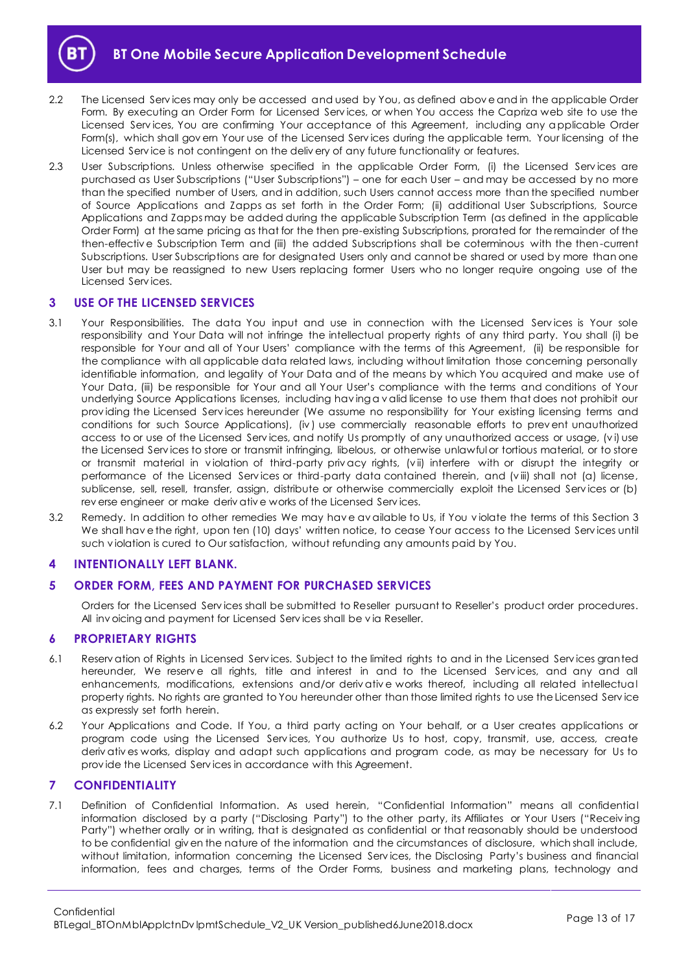

- 2.2 The Licensed Serv ices may only be accessed and used by You, as defined abov e and in the applicable Order Form. By executing an Order Form for Licensed Serv ices, or when You access the Capriza web site to use the Licensed Serv ices, You are confirming Your acceptance of this Agreement, including any applicable Order Form(s), which shall govern Your use of the Licensed Services during the applicable term. Your licensing of the Licensed Serv ice is not contingent on the deliv ery of any future functionality or features.
- 2.3 User Subscriptions. Unless otherwise specified in the applicable Order Form, (i) the Licensed Serv ices are purchased as User Subscriptions ("User Subscriptions") – one for each User – and may be accessed by no more than the specified number of Users, and in addition, such Users cannot access more than the specified number of Source Applications and Zapps as set forth in the Order Form; (ii) additional User Subscriptions, Source Applications and Zapps may be added during the applicable Subscription Term (as defined in the applicable Order Form) at the same pricing as that for the then pre-existing Subscriptions, prorated for the remainder of the then-effectiv e Subscription Term and (iii) the added Subscriptions shall be coterminous with the then-current Subscriptions. User Subscriptions are for designated Users only and cannot be shared or used by more than one User but may be reassigned to new Users replacing former Users who no longer require ongoing use of the Licensed Serv ices.

## <span id="page-12-0"></span>**3 USE OF THE LICENSED SERVICES**

- 3.1 Your Responsibilities. The data You input and use in connection with the Licensed Services is Your sole responsibility and Your Data will not infringe the intellectual property rights of any third party. You shall (i) be responsible for Your and all of Your Users' compliance with the terms of this Agreement, (ii) be responsible for the compliance with all applicable data related laws, including without limitation those concerning personally identifiable information, and legality of Your Data and of the means by which You acquired and make use of Your Data, (iii) be responsible for Your and all Your User's compliance with the terms and conditions of Your underlying Source Applications licenses, including hav ing a v alid license to use them that does not prohibit our prov iding the Licensed Serv ices hereunder (We assume no responsibility for Your existing licensing terms and conditions for such Source Applications), (iv ) use commercially reasonable efforts to prev ent unauthorized access to or use of the Licensed Serv ices, and notify Us promptly of any unauthorized access or usage, (v i) use the Licensed Serv ices to store or transmit infringing, libelous, or otherwise unlawful or tortious material, or to store or transmit material in v iolation of third-party priv acy rights, (v ii) interfere with or disrupt the integrity or performance of the Licensed Serv ices or third-party data contained therein, and (v iii) shall not (a) license, sublicense, sell, resell, transfer, assign, distribute or otherwise commercially exploit the Licensed Serv ices or (b) rev erse engineer or make deriv ativ e works of the Licensed Serv ices.
- 3.2 Remedy. In addition to other remedies We may hav e av ailable to Us, if You v iolate the terms of this Section 3 We shall hav e the right, upon ten (10) days' written notice, to cease Your access to the Licensed Serv ices until such v iolation is cured to Our satisfaction, without refunding any amounts paid by You.

### <span id="page-12-1"></span>**4 INTENTIONALLY LEFT BLANK.**

### <span id="page-12-2"></span>**5 ORDER FORM, FEES AND PAYMENT FOR PURCHASED SERVICES**

Orders for the Licensed Serv ices shall be submitted to Reseller pursuant to Reseller's product order procedures. All inv oicing and payment for Licensed Serv ices shall be v ia Reseller.

### <span id="page-12-3"></span>**6 PROPRIETARY RIGHTS**

- 6.1 Reserv ation of Rights in Licensed Serv ices. Subject to the limited rights to and in the Licensed Serv ices granted hereunder, We reserve all rights, title and interest in and to the Licensed Services, and any and all enhancements, modifications, extensions and/or deriv ativ e works thereof, including all related intellectual property rights. No rights are granted to You hereunder other than those limited rights to use the Licensed Serv ice as expressly set forth herein.
- 6.2 Your Applications and Code. If You, a third party acting on Your behalf, or a User creates applications or program code using the Licensed Services, You authorize Us to host, copy, transmit, use, access, create deriv ativ es works, display and adapt such applications and program code, as may be necessary for Us to prov ide the Licensed Serv ices in accordance with this Agreement.

#### <span id="page-12-4"></span>**7 CONFIDENTIALITY**

7.1 Definition of Confidential Information. As used herein, "Confidential Information" means all confidential information disclosed by a party ("Disclosing Party") to the other party, its Affiliates or Your Users ("Receiv ing Party") whether orally or in writing, that is designated as confidential or that reasonably should be understood to be confidential giv en the nature of the information and the circumstances of disclosure, which shall include, without limitation, information concerning the Licensed Serv ices, the Disclosing Party's business and financial information, fees and charges, terms of the Order Forms, business and marketing plans, technology and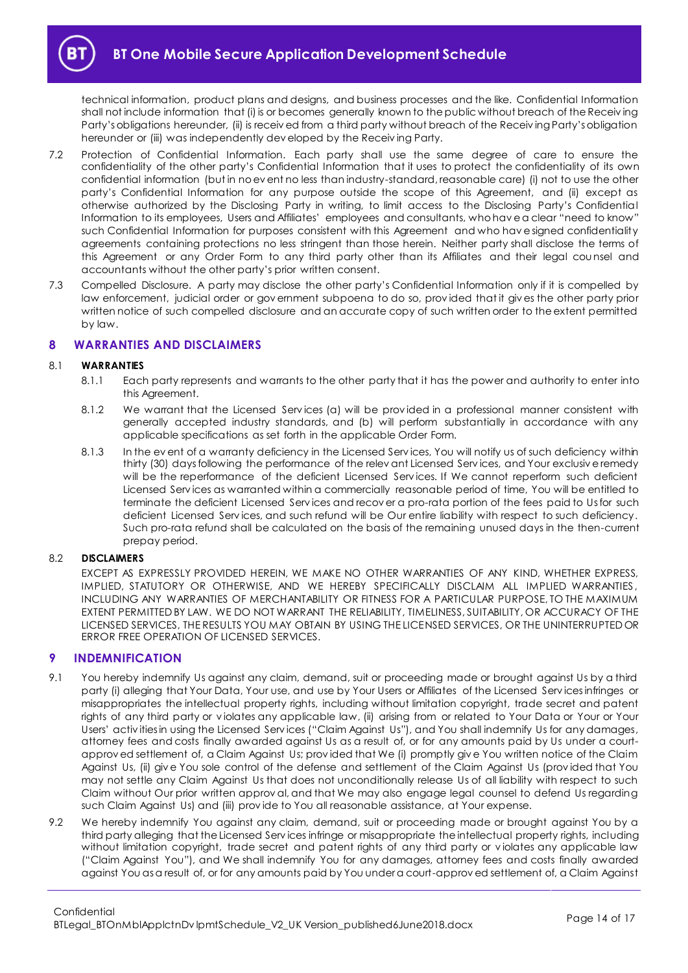

technical information, product plans and designs, and business processes and the like. Confidential Information shall not include information that (i) is or becomes generally known to the public without breach of the Receiv ing Party's obligations hereunder, (ii) is receiv ed from a third party without breach of the Receiv ing Party's obligation hereunder or (iii) was independently dev eloped by the Receiv ing Party.

- 7.2 Protection of Confidential Information. Each party shall use the same degree of care to ensure the confidentiality of the other party's Confidential Information that it uses to protect the confidentiality of its own confidential information (but in no ev ent no less than industry-standard, reasonable care) (i) not to use the other party's Confidential Information for any purpose outside the scope of this Agreement, and (ii) except as otherwise authorized by the Disclosing Party in writing, to limit access to the Disclosing Party's Confidential Information to its employees, Users and Affiliates' employees and consultants, who hav e a clear "need to know" such Confidential Information for purposes consistent with this Agreement and who hav e signed confidentiality agreements containing protections no less stringent than those herein. Neither party shall disclose the terms of this Agreement or any Order Form to any third party other than its Affiliates and their legal cou nsel and accountants without the other party's prior written consent.
- 7.3 Compelled Disclosure. A party may disclose the other party's Confidential Information only if it is compelled by law enforcement, judicial order or gov ernment subpoena to do so, prov ided that it giv es the other party prior written notice of such compelled disclosure and an accurate copy of such written order to the extent permitted by law.

### <span id="page-13-0"></span>**8 WARRANTIES AND DISCLAIMERS**

#### 8.1 **WARRANTIES**

- 8.1.1 Each party represents and warrants to the other party that it has the power and authority to enter into this Agreement.
- 8.1.2 We warrant that the Licensed Services (a) will be provided in a professional manner consistent with generally accepted industry standards, and (b) will perform substantially in accordance with any applicable specifications as set forth in the applicable Order Form.
- 8.1.3 In the ev ent of a warranty deficiency in the Licensed Serv ices, You will notify us of such deficiency within thirty (30) days following the performance of the relev ant Licensed Serv ices, and Your exclusiv e remedy will be the reperformance of the deficient Licensed Services. If We cannot reperform such deficient Licensed Serv ices as warranted within a commercially reasonable period of time, You will be entitled to terminate the deficient Licensed Serv ices and recov er a pro-rata portion of the fees paid to Us for such deficient Licensed Serv ices, and such refund will be Our entire liability with respect to such deficiency. Such pro-rata refund shall be calculated on the basis of the remaining unused days in the then-current prepay period.

#### 8.2 **DISCLAIMERS**

EXCEPT AS EXPRESSLY PROVIDED HEREIN, WE MAKE NO OTHER WARRANTIES OF ANY KIND, WHETHER EXPRESS, IMPLIED, STATUTORY OR OTHERWISE, AND WE HEREBY SPECIFICALLY DISCLAIM ALL IMPLIED WARRANTIES, INCLUDING ANY WARRANTIES OF MERCHANTABILITY OR FITNESS FOR A PARTICULAR PURPOSE, TO THE MAXIMUM EXTENT PERMITTED BY LAW. WE DO NOT WARRANT THE RELIABILITY, TIMELINESS, SUITABILITY, OR ACCURACY OF THE LICENSED SERVICES, THE RESULTS YOU MAY OBTAIN BY USING THE LICENSED SERVICES, OR THE UNINTERRUPTED OR ERROR FREE OPERATION OF LICENSED SERVICES.

### <span id="page-13-1"></span>**9 INDEMNIFICATION**

- 9.1 You hereby indemnify Us against any claim, demand, suit or proceeding made or brought against Us by a third party (i) alleging that Your Data, Your use, and use by Your Users or Affiliates of the Licensed Serv ices infringes or misappropriates the intellectual property rights, including without limitation copyright, trade secret and patent rights of any third party or v iolates any applicable law, (ii) arising from or related to Your Data or Your or Your Users' activ ities in using the Licensed Serv ices ("Claim Against Us"), and You shall indemnify Us for any damages, attorney fees and costs finally awarded against Us as a result of, or for any amounts paid by Us under a courtapprov ed settlement of, a Claim Against Us; provided that We (i) promptly give You written notice of the Claim Against Us, (ii) giv e You sole control of the defense and settlement of the Claim Against Us (prov ided that You may not settle any Claim Against Us that does not unconditionally release Us of all liability with respect to such Claim without Our prior written approv al, and that We may also engage legal counsel to defend Us regarding such Claim Against Us) and (iii) prov ide to You all reasonable assistance, at Your expense.
- 9.2 We hereby indemnify You against any claim, demand, suit or proceeding made or brought against You by a third party alleging that the Licensed Serv ices infringe or misappropriate the intellectual property rights, including without limitation copyright, trade secret and patent rights of any third party or v iolates any applicable law ("Claim Against You"), and We shall indemnify You for any damages, attorney fees and costs finally awarded against You as a result of, or for any amounts paid by You under a court-approv ed settlement of, a Claim Against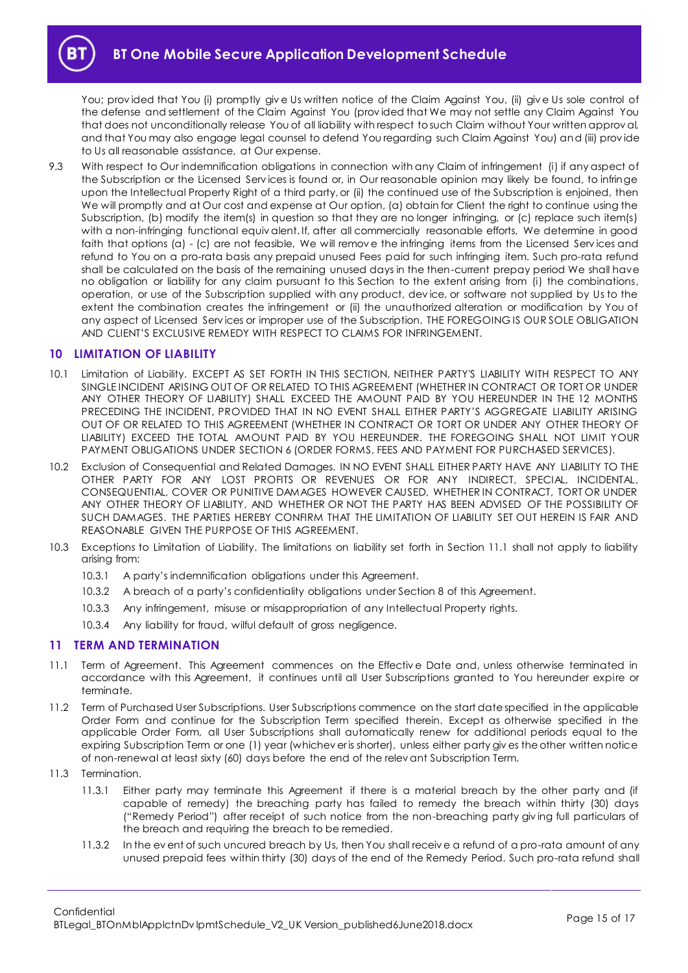You; prov ided that You (i) promptly giv e Us written notice of the Claim Against You, (ii) giv e Us sole control of the defense and settlement of the Claim Against You (prov ided that We may not settle any Claim Against You that does not unconditionally release You of all liability with respect to such Claim without Your written approv al, and that You may also engage legal counsel to defend You regarding such Claim Against You) and (iii) prov ide to Us all reasonable assistance, at Our expense.

9.3 With respect to Our indemnification obligations in connection with any Claim of infringement (i) if any aspect of the Subscription or the Licensed Serv ices is found or, in Our reasonable opinion may likely be found, to infringe upon the Intellectual Property Right of a third party, or (ii) the continued use of the Subscription is enjoined, then We will promptly and at Our cost and expense at Our option, (a) obtain for Client the right to continue using the Subscription, (b) modify the item(s) in question so that they are no longer infringing, or (c) replace such item(s) with a non-infringing functional equiv alent. If, after all commercially reasonable efforts, We determine in good faith that options (a) - (c) are not feasible, We will remov e the infringing items from the Licensed Serv ices and refund to You on a pro-rata basis any prepaid unused Fees paid for such infringing item. Such pro-rata refund shall be calculated on the basis of the remaining unused days in the then-current prepay period We shall have no obligation or liability for any claim pursuant to this Section to the extent arising from (i) the combinations, operation, or use of the Subscription supplied with any product, dev ice, or software not supplied by Us to the extent the combination creates the infringement or (ii) the unauthorized alteration or modification by You of any aspect of Licensed Serv ices or improper use of the Subscription. THE FOREGOING IS OUR SOLE OBLIGATION AND CLIENT'S EXCLUSIVE REMEDY WITH RESPECT TO CLAIMS FOR INFRINGEMENT.

# <span id="page-14-0"></span>**10 LIMITATION OF LIABILITY**

- 10.1 Limitation of Liability. EXCEPT AS SET FORTH IN THIS SECTION, NEITHER PARTY'S LIABILITY WITH RESPECT TO ANY SINGLE INCIDENT ARISING OUT OF OR RELATED TO THIS AGREEMENT (WHETHER IN CONTRACT OR TORT OR UNDER ANY OTHER THEORY OF LIABILITY) SHALL EXCEED THE AMOUNT PAID BY YOU HEREUNDER IN THE 12 MONTHS PRECEDING THE INCIDENT, PROVIDED THAT IN NO EVENT SHALL EITHER PARTY'S AGGREGATE LIABILITY ARISING OUT OF OR RELATED TO THIS AGREEMENT (WHETHER IN CONTRACT OR TORT OR UNDER ANY OTHER THEORY OF LIABILITY) EXCEED THE TOTAL AMOUNT PAID BY YOU HEREUNDER. THE FOREGOING SHALL NOT LIMIT YOUR PAYMENT OBLIGATIONS UNDER SECTION 6 (ORDER FORMS, FEES AND PAYMENT FOR PURCHASED SERVICES).
- 10.2 Exclusion of Consequential and Related Damages. IN NO EVENT SHALL EITHER PARTY HAVE ANY LIABILITY TO THE OTHER PARTY FOR ANY LOST PROFITS OR REVENUES OR FOR ANY INDIRECT, SPECIAL, INCIDENTAL, CONSEQUENTIAL, COVER OR PUNITIVE DAMAGES HOWEVER CAUSED, WHETHER IN CONTRACT, TORT OR UNDER ANY OTHER THEORY OF LIABILITY, AND WHETHER OR NOT THE PARTY HAS BEEN ADVISED OF THE POSSIBILITY OF SUCH DAMAGES. THE PARTIES HEREBY CONFIRM THAT THE LIMITATION OF LIABILITY SET OUT HEREIN IS FAIR AND REASONABLE GIVEN THE PURPOSE OF THIS AGREEMENT.
- 10.3 Exceptions to Limitation of Liability. The limitations on liability set forth in Section 11.1 shall not apply to liability arising from:
	- 10.3.1 A party's indemnification obligations under this Agreement.
	- 10.3.2 A breach of a party's confidentiality obligations under Section 8 of this Agreement.
	- 10.3.3 Any infringement, misuse or misappropriation of any Intellectual Property rights.
	- 10.3.4 Any liability for fraud, wilful default of gross negligence.

# <span id="page-14-1"></span>**11 TERM AND TERMINATION**

- 11.1 Term of Agreement. This Agreement commences on the Effectiv e Date and, unless otherwise terminated in accordance with this Agreement, it continues until all User Subscriptions granted to You hereunder expire or terminate.
- 11.2 Term of Purchased User Subscriptions. User Subscriptions commence on the start date specified in the applicable Order Form and continue for the Subscription Term specified therein. Except as otherwise specified in the applicable Order Form, all User Subscriptions shall automatically renew for additional periods equal to the expiring Subscription Term or one (1) year (whichev er is shorter), unless either party giv es the other written notice of non-renewal at least sixty (60) days before the end of the relev ant Subscription Term.
- 11.3 Termination.
	- 11.3.1 Either party may terminate this Agreement if there is a material breach by the other party and (if capable of remedy) the breaching party has failed to remedy the breach within thirty (30) days ("Remedy Period") after receipt of such notice from the non-breaching party giv ing full particulars of the breach and requiring the breach to be remedied.
	- 11.3.2 In the ev ent of such uncured breach by Us, then You shall receiv e a refund of a pro-rata amount of any unused prepaid fees within thirty (30) days of the end of the Remedy Period. Such pro-rata refund shall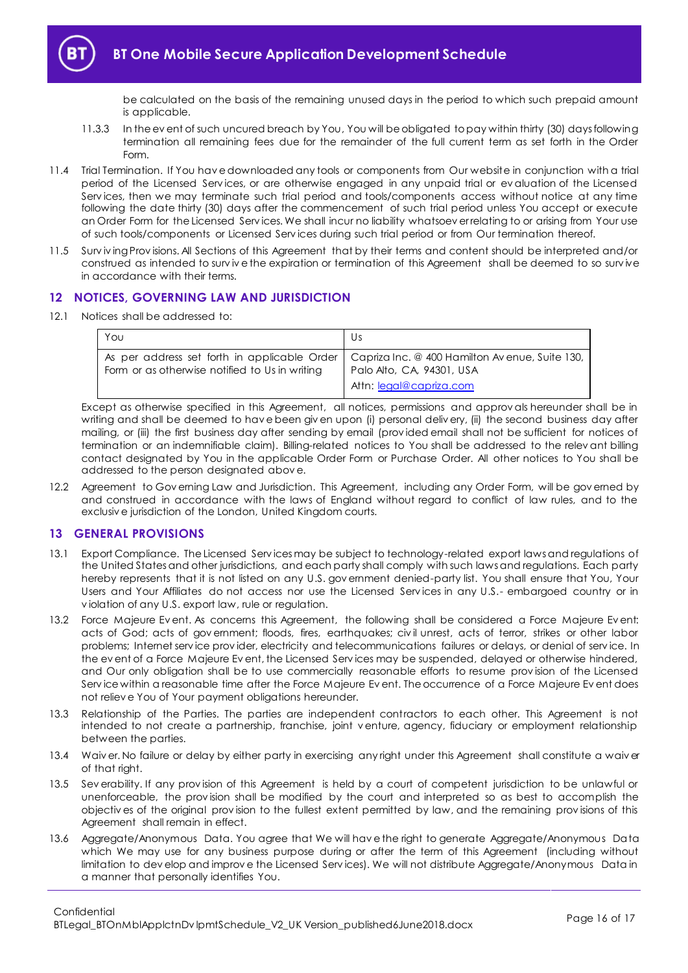be calculated on the basis of the remaining unused days in the period to which such prepaid amount is applicable.

- 11.3.3 In the ev ent of such uncured breach by You, You will be obligated to pay within thirty (30) days following termination all remaining fees due for the remainder of the full current term as set forth in the Order Form.
- 11.4 Trial Termination. If You hav e downloaded any tools or components from Our website in conjunction with a trial period of the Licensed Serv ices, or are otherwise engaged in any unpaid trial or ev aluation of the Licensed Services, then we may terminate such trial period and tools/components access without notice at any time following the date thirty (30) days after the commencement of such trial period unless You accept or execute an Order Form for the Licensed Serv ices. We shall incur no liability whatsoev er relating to or arising from Your use of such tools/components or Licensed Serv ices during such trial period or from Our termination thereof.
- 11.5 Surv iv ing Prov isions. All Sections of this Agreement that by their terms and content should be interpreted and/or construed as intended to survive the expiration or termination of this Agreement shall be deemed to so survive in accordance with their terms.

# <span id="page-15-0"></span>**12 NOTICES, GOVERNING LAW AND JURISDICTION**

12.1 Notices shall be addressed to:

| Υου                                            | Us                                                                                                                                                    |
|------------------------------------------------|-------------------------------------------------------------------------------------------------------------------------------------------------------|
| Form or as otherwise notified to Us in writing | As per address set forth in applicable Order   Capriza Inc. @ 400 Hamilton Avenue, Suite 130,<br>Palo Alto, CA, 94301, USA<br>Attn: legal@capriza.com |

Except as otherwise specified in this Agreement, all notices, permissions and approv als hereunder shall be in writing and shall be deemed to have been given upon (i) personal delivery, (ii) the second business day after mailing, or (iii) the first business day after sending by email (prov ided email shall not be sufficient for notices of termination or an indemnifiable claim). Billing-related notices to You shall be addressed to the relev ant billing contact designated by You in the applicable Order Form or Purchase Order. All other notices to You shall be addressed to the person designated abov e.

12.2 Agreement to Gov erning Law and Jurisdiction. This Agreement, including any Order Form, will be gov erned by and construed in accordance with the laws of England without regard to conflict of law rules, and to the exclusiv e jurisdiction of the London, United Kingdom courts.

# <span id="page-15-1"></span>**13 GENERAL PROVISIONS**

- 13.1 Export Compliance. The Licensed Serv ices may be subject to technology-related export laws and regulations of the United States and other jurisdictions, and each party shall comply with such laws and regulations. Each party hereby represents that it is not listed on any U.S. gov ernment denied-party list. You shall ensure that You, Your Users and Your Affiliates do not access nor use the Licensed Services in any U.S.- embargoed country or in v iolation of any U.S. export law, rule or regulation.
- 13.2 Force Majeure Ev ent. As concerns this Agreement, the following shall be considered a Force Majeure Ev ent: acts of God; acts of gov ernment; floods, fires, earthquakes; civ il unrest, acts of terror, strikes or other labor problems; Internet serv ice prov ider, electricity and telecommunications failures or delays, or denial of serv ice. In the ev ent of a Force Majeure Ev ent, the Licensed Serv ices may be suspended, delayed or otherwise hindered, and Our only obligation shall be to use commercially reasonable efforts to resume prov ision of the Licensed Serv ice within a reasonable time after the Force Majeure Ev ent. The occurrence of a Force Majeure Ev ent does not reliev e You of Your payment obligations hereunder.
- 13.3 Relationship of the Parties. The parties are independent contractors to each other. This Agreement is not intended to not create a partnership, franchise, joint v enture, agency, fiduciary or employment relationship between the parties.
- 13.4 Waiv er. No failure or delay by either party in exercising any right under this Agreement shall constitute a waiv er of that right.
- 13.5 Sev erability. If any prov ision of this Agreement is held by a court of competent jurisdiction to be unlawful or unenforceable, the prov ision shall be modified by the court and interpreted so as best to accomplish the objectiv es of the original prov ision to the fullest extent permitted by law, and the remaining prov isions of this Agreement shall remain in effect.
- 13.6 Aggregate/Anonymous Data. You agree that We will hav e the right to generate Aggregate/Anonymous Data which We may use for any business purpose during or after the term of this Agreement (including without limitation to dev elop and improv e the Licensed Serv ices). We will not distribute Aggregate/Anonymous Data in a manner that personally identifies You.